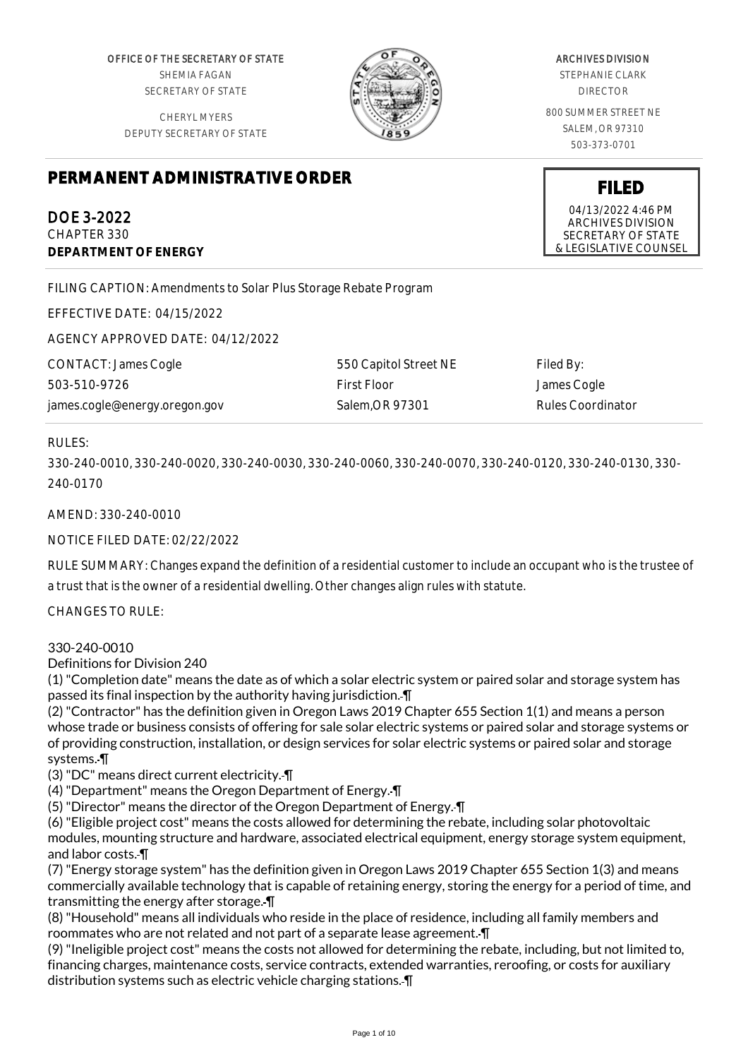OFFICE OF THE SECRETARY OF STATE SHEMIA FAGAN SECRETARY OF STATE

CHERYL MYERS DEPUTY SECRETARY OF STATE



#### ARCHIVES DIVISION

STEPHANIE CLARK DIRECTOR

800 SUMMER STREET NE SALEM, OR 97310 503-373-0701

# **PERMANENT ADMINISTRATIVE ORDER**

DOE 3-2022 CHAPTER 330 **DEPARTMENT OF ENERGY**

FILING CAPTION: Amendments to Solar Plus Storage Rebate Program

EFFECTIVE DATE: 04/15/2022

AGENCY APPROVED DATE: 04/12/2022

| CONTACT: James Cogle          | 550 Capitol Street NE | Filed By:         |
|-------------------------------|-----------------------|-------------------|
| 503-510-9726                  | First Floor           | James Cogle       |
| james.cogle@energy.oregon.gov | Salem.OR 97301        | Rules Coordinator |

# RULES:

330-240-0010, 330-240-0020, 330-240-0030, 330-240-0060, 330-240-0070, 330-240-0120, 330-240-0130, 330- 240-0170

AMEND: 330-240-0010

NOTICE FILED DATE: 02/22/2022

RULE SUMMARY: Changes expand the definition of a residential customer to include an occupant who is the trustee of a trust that is the owner of a residential dwelling. Other changes align rules with statute.

CHANGES TO RULE:

## 330-240-0010

Definitions for Division 240

(1) "Completion date" means the date as of which a solar electric system or paired solar and storage system has passed its final inspection by the authority having jurisdiction. ¶

(2) "Contractor" has the definition given in Oregon Laws 2019 Chapter 655 Section 1(1) and means a person whose trade or business consists of offering for sale solar electric systems or paired solar and storage systems or of providing construction, installation, or design services for solar electric systems or paired solar and storage systems. ¶

(3) "DC" means direct current electricity. ¶

- (4) "Department" means the Oregon Department of Energy. ¶
- (5) "Director" means the director of the Oregon Department of Energy. ¶

(6) "Eligible project cost" means the costs allowed for determining the rebate, including solar photovoltaic modules, mounting structure and hardware, associated electrical equipment, energy storage system equipment, and labor costs. ¶

(7) "Energy storage system" has the definition given in Oregon Laws 2019 Chapter 655 Section 1(3) and means commercially available technology that is capable of retaining energy, storing the energy for a period of time, and transmitting the energy after storage. ¶

(8) "Household" means all individuals who reside in the place of residence, including all family members and roommates who are not related and not part of a separate lease agreement. ¶

(9) "Ineligible project cost" means the costs not allowed for determining the rebate, including, but not limited to, financing charges, maintenance costs, service contracts, extended warranties, reroofing, or costs for auxiliary distribution systems such as electric vehicle charging stations. ¶

**FILED**

04/13/2022 4:46 PM ARCHIVES DIVISION SECRETARY OF STATE & LEGISLATIVE COUNSEL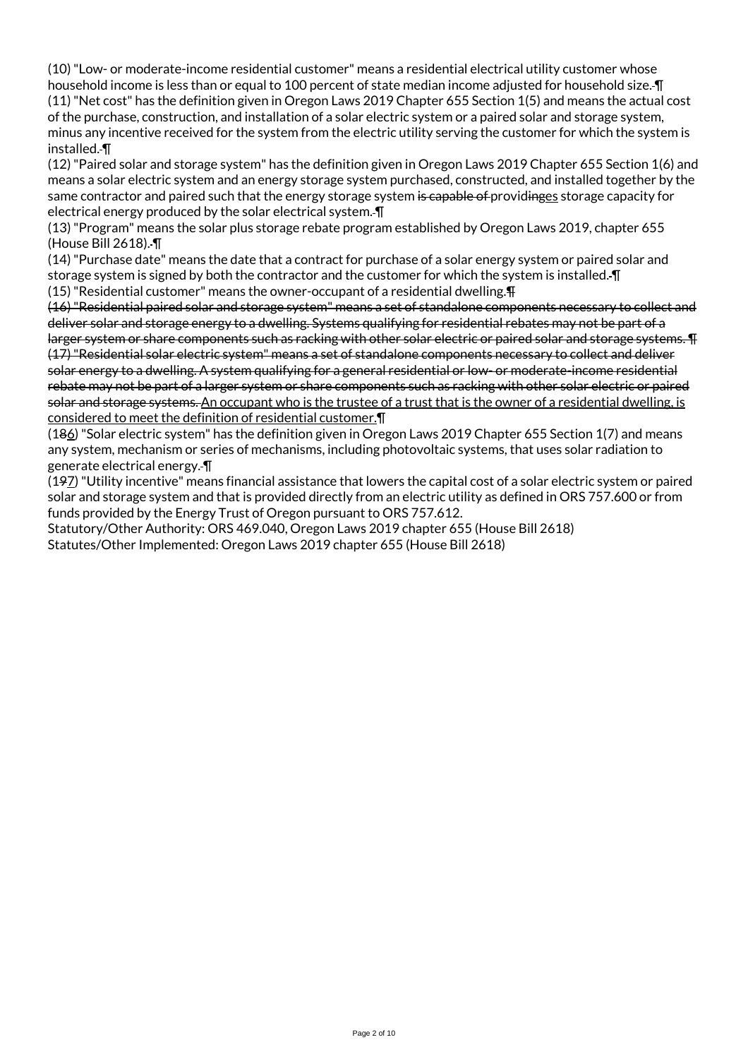(10) "Low- or moderate-income residential customer" means a residential electrical utility customer whose household income is less than or equal to 100 percent of state median income adjusted for household size. I (11) "Net cost" has the definition given in Oregon Laws 2019 Chapter 655 Section 1(5) and means the actual cost of the purchase, construction, and installation of a solar electric system or a paired solar and storage system, minus any incentive received for the system from the electric utility serving the customer for which the system is installed. ¶

(12) "Paired solar and storage system" has the definition given in Oregon Laws 2019 Chapter 655 Section 1(6) and means a solar electric system and an energy storage system purchased, constructed, and installed together by the same contractor and paired such that the energy storage system is capable of providinges storage capacity for electrical energy produced by the solar electrical system. ¶

(13) "Program" means the solar plus storage rebate program established by Oregon Laws 2019, chapter 655 (House Bill 2618). ¶

(14) "Purchase date" means the date that a contract for purchase of a solar energy system or paired solar and storage system is signed by both the contractor and the customer for which the system is installed. ¶

(15) "Residential customer" means the owner-occupant of a residential dwelling.¶

(16) "Residential paired solar and storage system" means a set of standalone components necessary to collect and deliver solar and storage energy to a dwelling. Systems qualifying for residential rebates may not be part of a larger system or share components such as racking with other solar electric or paired solar and storage systems. ¶

(17) "Residential solar electric system" means a set of standalone components necessary to collect and deliver solar energy to a dwelling. A system qualifying for a general residential or low- or moderate-income residential rebate may not be part of a larger system or share components such as racking with other solar electric or paired solar and storage systems. An occupant who is the trustee of a trust that is the owner of a residential dwelling, is considered to meet the definition of residential customer.¶

(186) "Solar electric system" has the definition given in Oregon Laws 2019 Chapter 655 Section 1(7) and means any system, mechanism or series of mechanisms, including photovoltaic systems, that uses solar radiation to generate electrical energy. ¶

(197) "Utility incentive" means financial assistance that lowers the capital cost of a solar electric system or paired solar and storage system and that is provided directly from an electric utility as defined in ORS 757.600 or from funds provided by the Energy Trust of Oregon pursuant to ORS 757.612.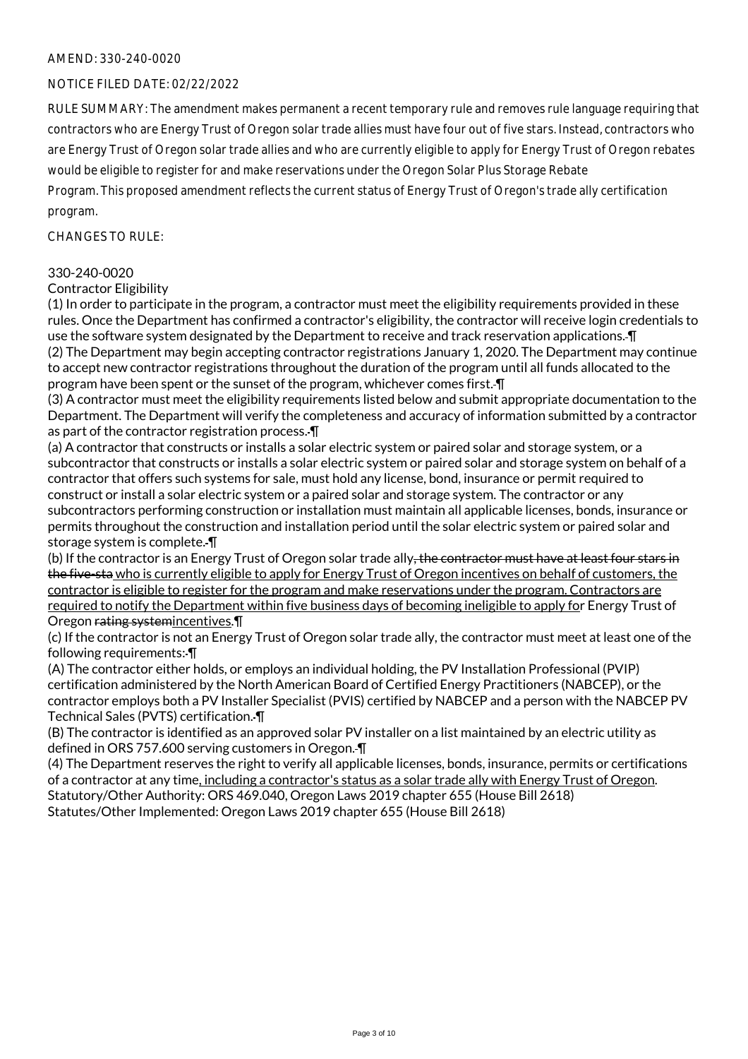# NOTICE FILED DATE: 02/22/2022

RULE SUMMARY: The amendment makes permanent a recent temporary rule and removes rule language requiring that contractors who are Energy Trust of Oregon solar trade allies must have four out of five stars. Instead, contractors who are Energy Trust of Oregon solar trade allies and who are currently eligible to apply for Energy Trust of Oregon rebates would be eligible to register for and make reservations under the Oregon Solar Plus Storage Rebate

Program. This proposed amendment reflects the current status of Energy Trust of Oregon's trade ally certification program.

## CHANGES TO RULE:

#### 330-240-0020

#### Contractor Eligibility

(1) In order to participate in the program, a contractor must meet the eligibility requirements provided in these rules. Once the Department has confirmed a contractor's eligibility, the contractor will receive login credentials to use the software system designated by the Department to receive and track reservation applications. ¶ (2) The Department may begin accepting contractor registrations January 1, 2020. The Department may continue to accept new contractor registrations throughout the duration of the program until all funds allocated to the program have been spent or the sunset of the program, whichever comes first. ¶

(3) A contractor must meet the eligibility requirements listed below and submit appropriate documentation to the Department. The Department will verify the completeness and accuracy of information submitted by a contractor as part of the contractor registration process. ¶

(a) A contractor that constructs or installs a solar electric system or paired solar and storage system, or a subcontractor that constructs or installs a solar electric system or paired solar and storage system on behalf of a contractor that offers such systems for sale, must hold any license, bond, insurance or permit required to construct or install a solar electric system or a paired solar and storage system. The contractor or any subcontractors performing construction or installation must maintain all applicable licenses, bonds, insurance or permits throughout the construction and installation period until the solar electric system or paired solar and storage system is complete. ¶

(b) If the contractor is an Energy Trust of Oregon solar trade ally<del>, the contractor must have at least four stars in</del> the five-sta who is currently eligible to apply for Energy Trust of Oregon incentives on behalf of customers, the contractor is eligible to register for the program and make reservations under the program. Contractors are required to notify the Department within five business days of becoming ineligible to apply for Energy Trust of Oregon rating systemincentives.¶

(c) If the contractor is not an Energy Trust of Oregon solar trade ally, the contractor must meet at least one of the following requirements: ¶

(A) The contractor either holds, or employs an individual holding, the PV Installation Professional (PVIP) certification administered by the North American Board of Certified Energy Practitioners (NABCEP), or the contractor employs both a PV Installer Specialist (PVIS) certified by NABCEP and a person with the NABCEP PV Technical Sales (PVTS) certification. ¶

(B) The contractor is identified as an approved solar PV installer on a list maintained by an electric utility as defined in ORS 757.600 serving customers in Oregon. ¶

(4) The Department reserves the right to verify all applicable licenses, bonds, insurance, permits or certifications of a contractor at any time, including a contractor's status as a solar trade ally with Energy Trust of Oregon. Statutory/Other Authority: ORS 469.040, Oregon Laws 2019 chapter 655 (House Bill 2618) Statutes/Other Implemented: Oregon Laws 2019 chapter 655 (House Bill 2618)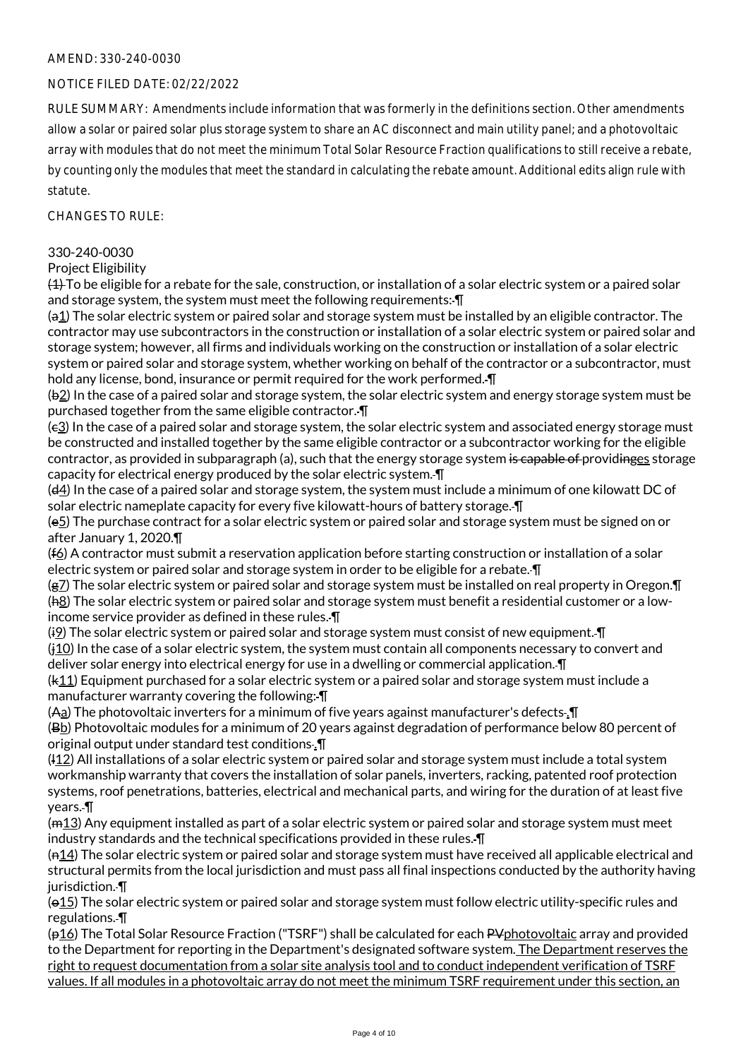# NOTICE FILED DATE: 02/22/2022

RULE SUMMARY: Amendments include information that was formerly in the definitions section. Other amendments allow a solar or paired solar plus storage system to share an AC disconnect and main utility panel; and a photovoltaic array with modules that do not meet the minimum Total Solar Resource Fraction qualifications to still receive a rebate, by counting only the modules that meet the standard in calculating the rebate amount. Additional edits align rule with statute.

 $CHANGESTORUIF$ 

#### 330-240-0030

Project Eligibility

(1) To be eligible for a rebate for the sale, construction, or installation of a solar electric system or a paired solar and storage system, the system must meet the following requirements:  $\P$ 

(a1) The solar electric system or paired solar and storage system must be installed by an eligible contractor. The contractor may use subcontractors in the construction or installation of a solar electric system or paired solar and storage system; however, all firms and individuals working on the construction or installation of a solar electric system or paired solar and storage system, whether working on behalf of the contractor or a subcontractor, must hold any license, bond, insurance or permit required for the work performed. ¶

(b2) In the case of a paired solar and storage system, the solar electric system and energy storage system must be purchased together from the same eligible contractor. ¶

(c3) In the case of a paired solar and storage system, the solar electric system and associated energy storage must be constructed and installed together by the same eligible contractor or a subcontractor working for the eligible contractor, as provided in subparagraph (a), such that the energy storage system is capable of providinges storage capacity for electrical energy produced by the solar electric system. ¶

(d4) In the case of a paired solar and storage system, the system must include a minimum of one kilowatt DC of solar electric nameplate capacity for every five kilowatt-hours of battery storage. *[[*]

(e5) The purchase contract for a solar electric system or paired solar and storage system must be signed on or after January 1, 2020.¶

(f6) A contractor must submit a reservation application before starting construction or installation of a solar electric system or paired solar and storage system in order to be eligible for a rebate.  $\P$ 

(g7) The solar electric system or paired solar and storage system must be installed on real property in Oregon.¶ (h8) The solar electric system or paired solar and storage system must benefit a residential customer or a lowincome service provider as defined in these rules. ¶

 $(i)$  The solar electric system or paired solar and storage system must consist of new equipment.  $\Pi$ (j10) In the case of a solar electric system, the system must contain all components necessary to convert and deliver solar energy into electrical energy for use in a dwelling or commercial application. ¶

(k11) Equipment purchased for a solar electric system or a paired solar and storage system must include a manufacturer warranty covering the following: ¶

(Aa) The photovoltaic inverters for a minimum of five years against manufacturer's defects .¶

(Bb) Photovoltaic modules for a minimum of 20 years against degradation of performance below 80 percent of original output under standard test conditions .¶

(l12) All installations of a solar electric system or paired solar and storage system must include a total system workmanship warranty that covers the installation of solar panels, inverters, racking, patented roof protection systems, roof penetrations, batteries, electrical and mechanical parts, and wiring for the duration of at least five years. ¶

(m13) Any equipment installed as part of a solar electric system or paired solar and storage system must meet industry standards and the technical specifications provided in these rules. ¶

 $(n14)$  The solar electric system or paired solar and storage system must have received all applicable electrical and structural permits from the local jurisdiction and must pass all final inspections conducted by the authority having jurisdiction.-

(o15) The solar electric system or paired solar and storage system must follow electric utility-specific rules and regulations. ¶

 $(p16)$  The Total Solar Resource Fraction ("TSRF") shall be calculated for each PV photovoltaic array and provided to the Department for reporting in the Department's designated software system. The Department reserves the right to request documentation from a solar site analysis tool and to conduct independent verification of TSRF values. If all modules in a photovoltaic array do not meet the minimum TSRF requirement under this section, an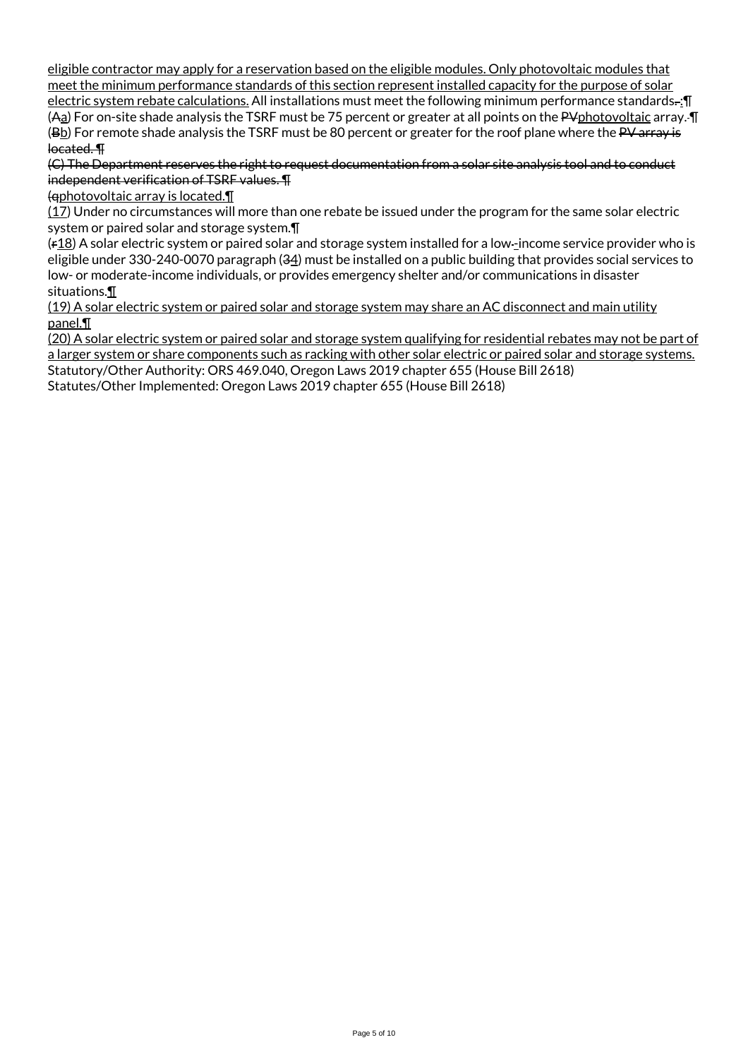eligible contractor may apply for a reservation based on the eligible modules. Only photovoltaic modules that meet the minimum performance standards of this section represent installed capacity for the purpose of solar electric system rebate calculations. All installations must meet the following minimum performance standards. : [ (Aa) For on-site shade analysis the TSRF must be 75 percent or greater at all points on the PVphotovoltaic array.  $\P$ (Bb) For remote shade analysis the TSRF must be 80 percent or greater for the roof plane where the PV array is located. ¶

(C) The Department reserves the right to request documentation from a solar site analysis tool and to conduct independent verification of TSRF values. ¶

(qphotovoltaic array is located.¶

(17) Under no circumstances will more than one rebate be issued under the program for the same solar electric system or paired solar and storage system.¶

(r18) A solar electric system or paired solar and storage system installed for a low -income service provider who is eligible under 330-240-0070 paragraph (34) must be installed on a public building that provides social services to low- or moderate-income individuals, or provides emergency shelter and/or communications in disaster situations.¶

(19) A solar electric system or paired solar and storage system may share an AC disconnect and main utility panel.¶

(20) A solar electric system or paired solar and storage system qualifying for residential rebates may not be part of a larger system or share components such as racking with other solar electric or paired solar and storage systems.

Statutory/Other Authority: ORS 469.040, Oregon Laws 2019 chapter 655 (House Bill 2618)

Statutes/Other Implemented: Oregon Laws 2019 chapter 655 (House Bill 2618)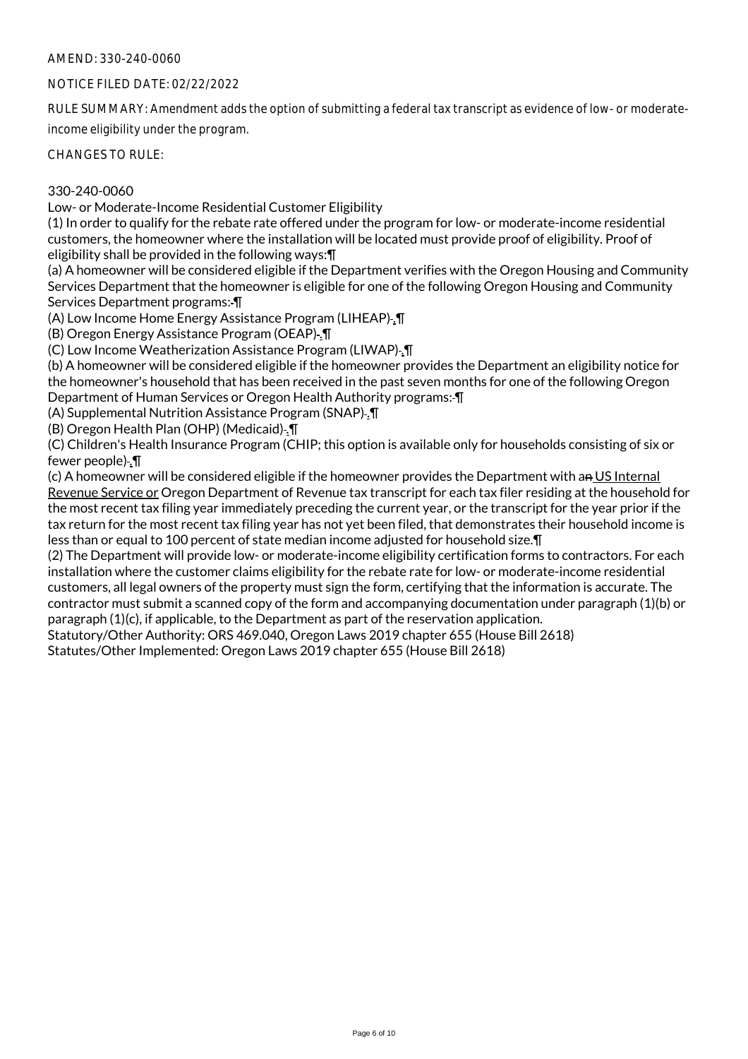# NOTICE FILED DATE: 02/22/2022

RULE SUMMARY: Amendment adds the option of submitting a federal tax transcript as evidence of low- or moderateincome eligibility under the program.

CHANGES TO RULE:

# 330-240-0060

Low- or Moderate-Income Residential Customer Eligibility

(1) In order to qualify for the rebate rate offered under the program for low- or moderate-income residential customers, the homeowner where the installation will be located must provide proof of eligibility. Proof of eligibility shall be provided in the following ways:¶

(a) A homeowner will be considered eligible if the Department verifies with the Oregon Housing and Community Services Department that the homeowner is eligible for one of the following Oregon Housing and Community Services Department programs: ¶

(A) Low Income Home Energy Assistance Program (LIHEAP) .¶

(B) Oregon Energy Assistance Program (OEAP) .¶

(C) Low Income Weatherization Assistance Program (LIWAP) .¶

(b) A homeowner will be considered eligible if the homeowner provides the Department an eligibility notice for the homeowner's household that has been received in the past seven months for one of the following Oregon Department of Human Services or Oregon Health Authority programs: ¶

(A) Supplemental Nutrition Assistance Program (SNAP) .¶

(B) Oregon Health Plan (OHP) (Medicaid) .¶

(C) Children's Health Insurance Program (CHIP; this option is available only for households consisting of six or fewer people) .¶

(c) A homeowner will be considered eligible if the homeowner provides the Department with an US Internal Revenue Service or Oregon Department of Revenue tax transcript for each tax filer residing at the household for the most recent tax filing year immediately preceding the current year, or the transcript for the year prior if the tax return for the most recent tax filing year has not yet been filed, that demonstrates their household income is less than or equal to 100 percent of state median income adjusted for household size.¶

(2) The Department will provide low- or moderate-income eligibility certification forms to contractors. For each installation where the customer claims eligibility for the rebate rate for low- or moderate-income residential customers, all legal owners of the property must sign the form, certifying that the information is accurate. The contractor must submit a scanned copy of the form and accompanying documentation under paragraph (1)(b) or paragraph (1)(c), if applicable, to the Department as part of the reservation application.

Statutory/Other Authority: ORS 469.040, Oregon Laws 2019 chapter 655 (House Bill 2618)

Statutes/Other Implemented: Oregon Laws 2019 chapter 655 (House Bill 2618)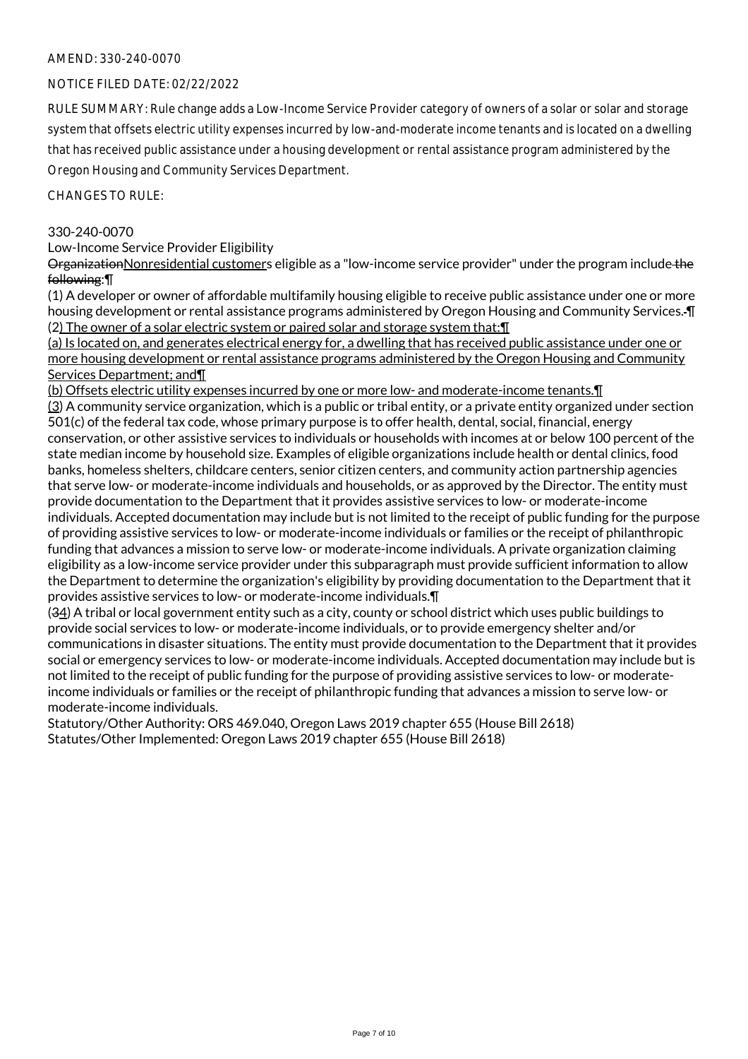# NOTICE FILED DATE: 02/22/2022

RULE SUMMARY: Rule change adds a Low-Income Service Provider category of owners of a solar or solar and storage system that offsets electric utility expenses incurred by low-and-moderate income tenants and is located on a dwelling that has received public assistance under a housing development or rental assistance program administered by the Oregon Housing and Community Services Department.

CHANGES TO RULE:

## 330-240-0070

Low-Income Service Provider Eligibility

OrganizationNonresidential customers eligible as a "low-income service provider" under the program include the following:¶

(1) A developer or owner of affordable multifamily housing eligible to receive public assistance under one or more housing development or rental assistance programs administered by Oregon Housing and Community Services. ¶ (2) The owner of a solar electric system or paired solar and storage system that:¶

(a) Is located on, and generates electrical energy for, a dwelling that has received public assistance under one or more housing development or rental assistance programs administered by the Oregon Housing and Community Services Department; and¶

(b) Offsets electric utility expenses incurred by one or more low- and moderate-income tenants.¶ (3) A community service organization, which is a public or tribal entity, or a private entity organized under section 501(c) of the federal tax code, whose primary purpose is to offer health, dental, social, financial, energy conservation, or other assistive services to individuals or households with incomes at or below 100 percent of the state median income by household size. Examples of eligible organizations include health or dental clinics, food banks, homeless shelters, childcare centers, senior citizen centers, and community action partnership agencies that serve low- or moderate-income individuals and households, or as approved by the Director. The entity must provide documentation to the Department that it provides assistive services to low- or moderate-income individuals. Accepted documentation may include but is not limited to the receipt of public funding for the purpose of providing assistive services to low- or moderate-income individuals or families or the receipt of philanthropic funding that advances a mission to serve low- or moderate-income individuals. A private organization claiming eligibility as a low-income service provider under this subparagraph must provide sufficient information to allow the Department to determine the organization's eligibility by providing documentation to the Department that it provides assistive services to low- or moderate-income individuals.¶

(34) A tribal or local government entity such as a city, county or school district which uses public buildings to provide social services to low- or moderate-income individuals, or to provide emergency shelter and/or communications in disaster situations. The entity must provide documentation to the Department that it provides social or emergency services to low- or moderate-income individuals. Accepted documentation may include but is not limited to the receipt of public funding for the purpose of providing assistive services to low- or moderateincome individuals or families or the receipt of philanthropic funding that advances a mission to serve low- or moderate-income individuals.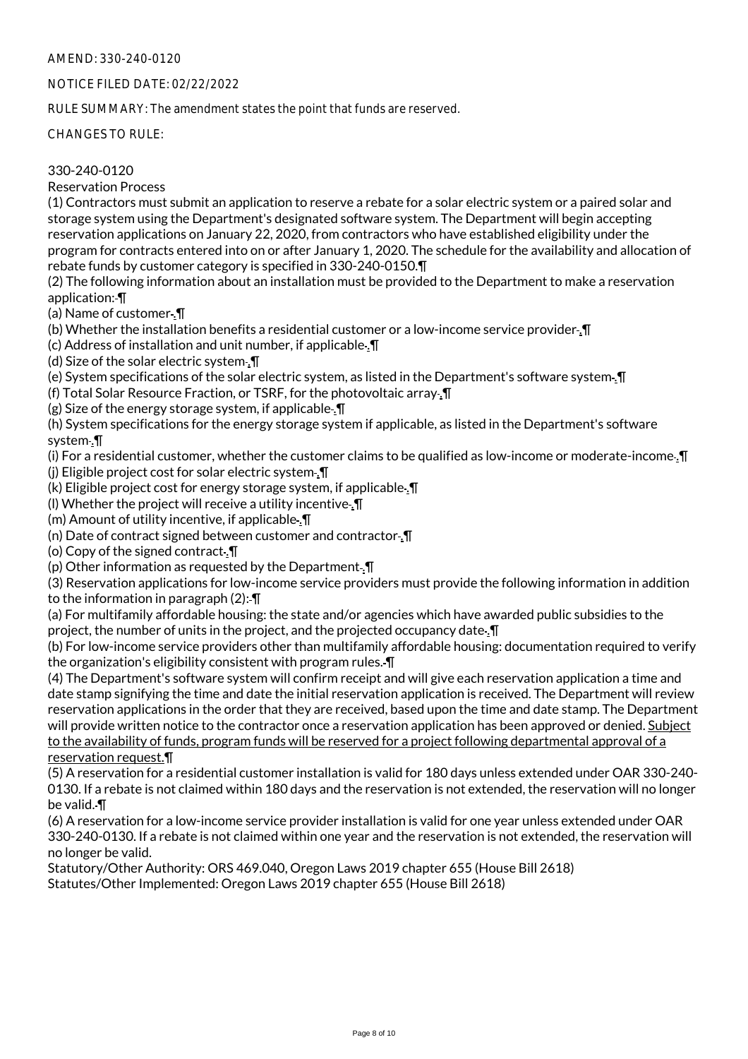# NOTICE FILED DATE: 02/22/2022

RULE SUMMARY: The amendment states the point that funds are reserved.

CHANGES TO RULE:

# 330-240-0120

Reservation Process

(1) Contractors must submit an application to reserve a rebate for a solar electric system or a paired solar and storage system using the Department's designated software system. The Department will begin accepting reservation applications on January 22, 2020, from contractors who have established eligibility under the program for contracts entered into on or after January 1, 2020. The schedule for the availability and allocation of rebate funds by customer category is specified in 330-240-0150.¶

(2) The following information about an installation must be provided to the Department to make a reservation application: ¶

(a) Name of customer .¶

(b) Whether the installation benefits a residential customer or a low-income service provider .¶

(c) Address of installation and unit number, if applicable .¶

(d) Size of the solar electric system .¶

(e) System specifications of the solar electric system, as listed in the Department's software system. I

(f) Total Solar Resource Fraction, or TSRF, for the photovoltaic array .¶

 $(g)$  Size of the energy storage system, if applicable.  $\P$ 

(h) System specifications for the energy storage system if applicable, as listed in the Department's software system .¶

(i) For a residential customer, whether the customer claims to be qualified as low-income or moderate-income .¶ (j) Eligible project cost for solar electric system .¶

(k) Eligible project cost for energy storage system, if applicable .¶

(l) Whether the project will receive a utility incentive .¶

(m) Amount of utility incentive, if applicable .¶

(n) Date of contract signed between customer and contractor .¶

(o) Copy of the signed contract .¶

(p) Other information as requested by the Department.  $\P$ 

(3) Reservation applications for low-income service providers must provide the following information in addition to the information in paragraph (2): ¶

(a) For multifamily affordable housing: the state and/or agencies which have awarded public subsidies to the project, the number of units in the project, and the projected occupancy date .¶

(b) For low-income service providers other than multifamily affordable housing: documentation required to verify the organization's eligibility consistent with program rules. ¶

(4) The Department's software system will confirm receipt and will give each reservation application a time and date stamp signifying the time and date the initial reservation application is received. The Department will review reservation applications in the order that they are received, based upon the time and date stamp. The Department will provide written notice to the contractor once a reservation application has been approved or denied. Subject to the availability of funds, program funds will be reserved for a project following departmental approval of a reservation request.¶

(5) A reservation for a residential customer installation is valid for 180 days unless extended under OAR 330-240- 0130. If a rebate is not claimed within 180 days and the reservation is not extended, the reservation will no longer be valid. ¶

(6) A reservation for a low-income service provider installation is valid for one year unless extended under OAR 330-240-0130. If a rebate is not claimed within one year and the reservation is not extended, the reservation will no longer be valid.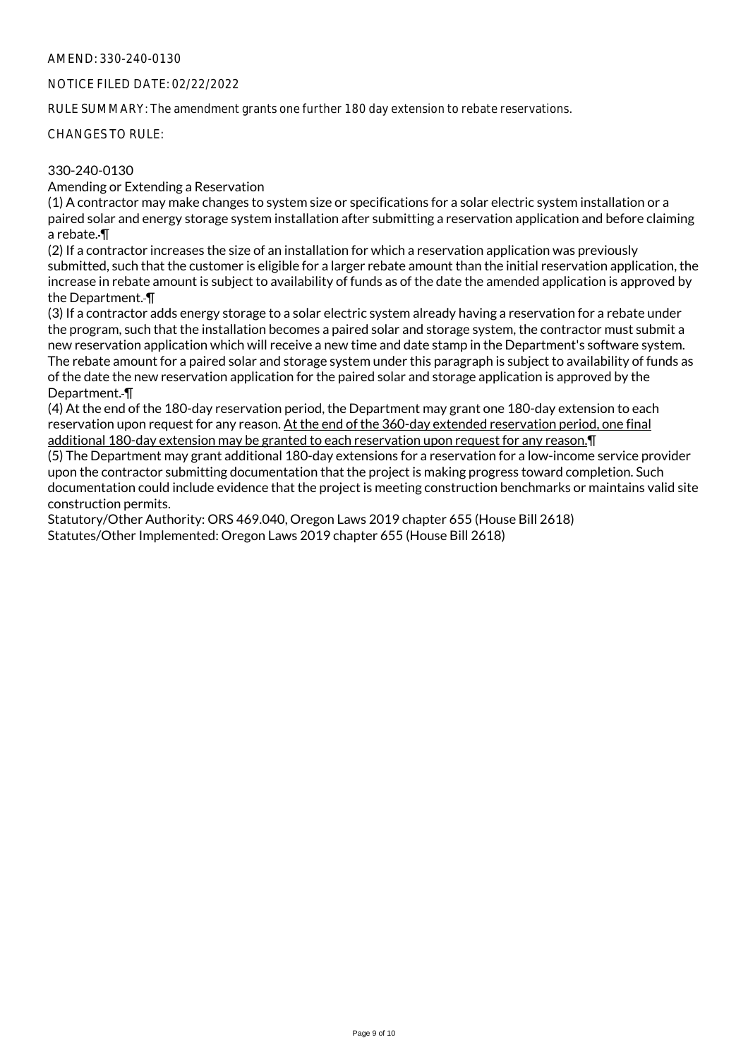# NOTICE FILED DATE: 02/22/2022

RULE SUMMARY: The amendment grants one further 180 day extension to rebate reservations.

CHANGES TO RULE:

# 330-240-0130

Amending or Extending a Reservation

(1) A contractor may make changes to system size or specifications for a solar electric system installation or a paired solar and energy storage system installation after submitting a reservation application and before claiming a rebate. ¶

(2) If a contractor increases the size of an installation for which a reservation application was previously submitted, such that the customer is eligible for a larger rebate amount than the initial reservation application, the increase in rebate amount is subject to availability of funds as of the date the amended application is approved by the Department. ¶

(3) If a contractor adds energy storage to a solar electric system already having a reservation for a rebate under the program, such that the installation becomes a paired solar and storage system, the contractor must submit a new reservation application which will receive a new time and date stamp in the Department's software system. The rebate amount for a paired solar and storage system under this paragraph is subject to availability of funds as of the date the new reservation application for the paired solar and storage application is approved by the Department. ¶

(4) At the end of the 180-day reservation period, the Department may grant one 180-day extension to each reservation upon request for any reason. At the end of the 360-day extended reservation period, one final

additional 180-day extension may be granted to each reservation upon request for any reason.¶ (5) The Department may grant additional 180-day extensions for a reservation for a low-income service provider upon the contractor submitting documentation that the project is making progress toward completion. Such documentation could include evidence that the project is meeting construction benchmarks or maintains valid site construction permits.